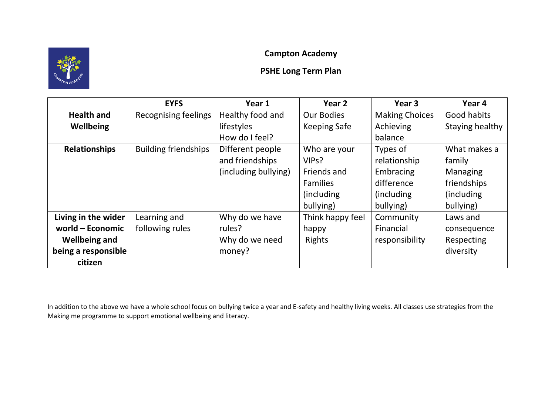# **Campton Academy**

# **PSHE Long Term Plan**

|                      | <b>EYFS</b>                 | Year 1               | Year 2              | Year <sub>3</sub>     | Year 4          |
|----------------------|-----------------------------|----------------------|---------------------|-----------------------|-----------------|
| <b>Health and</b>    | <b>Recognising feelings</b> | Healthy food and     | <b>Our Bodies</b>   | <b>Making Choices</b> | Good habits     |
| <b>Wellbeing</b>     |                             | lifestyles           | <b>Keeping Safe</b> | Achieving             | Staying healthy |
|                      |                             | How do I feel?       |                     | balance               |                 |
| <b>Relationships</b> | <b>Building friendships</b> | Different people     | Who are your        | Types of              | What makes a    |
|                      |                             | and friendships      | VIP <sub>s</sub> ?  | relationship          | family          |
|                      |                             | (including bullying) | Friends and         | Embracing             | Managing        |
|                      |                             |                      | <b>Families</b>     | difference            | friendships     |
|                      |                             |                      | (including)         | (including)           | (including)     |
|                      |                             |                      | bullying)           | bullying)             | bullying)       |
| Living in the wider  | Learning and                | Why do we have       | Think happy feel    | Community             | Laws and        |
| world – Economic     | following rules             | rules?               | happy               | Financial             | consequence     |
| <b>Wellbeing and</b> |                             | Why do we need       | <b>Rights</b>       | responsibility        | Respecting      |
| being a responsible  |                             | money?               |                     |                       | diversity       |
| citizen              |                             |                      |                     |                       |                 |

In addition to the above we have a whole school focus on bullying twice a year and E-safety and healthy living weeks. All classes use strategies from the Making me programme to support emotional wellbeing and literacy.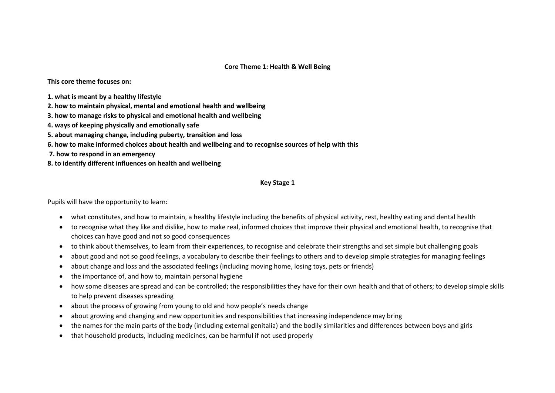#### **Core Theme 1: Health & Well Being**

**This core theme focuses on:** 

- **1. what is meant by a healthy lifestyle**
- **2. how to maintain physical, mental and emotional health and wellbeing**
- **3. how to manage risks to physical and emotional health and wellbeing**
- **4. ways of keeping physically and emotionally safe**
- **5. about managing change, including puberty, transition and loss**
- **6. how to make informed choices about health and wellbeing and to recognise sources of help with this**
- **7. how to respond in an emergency**
- **8. to identify different influences on health and wellbeing**

#### **Key Stage 1**

Pupils will have the opportunity to learn:

- what constitutes, and how to maintain, a healthy lifestyle including the benefits of physical activity, rest, healthy eating and dental health
- to recognise what they like and dislike, how to make real, informed choices that improve their physical and emotional health, to recognise that choices can have good and not so good consequences
- to think about themselves, to learn from their experiences, to recognise and celebrate their strengths and set simple but challenging goals
- about good and not so good feelings, a vocabulary to describe their feelings to others and to develop simple strategies for managing feelings
- about change and loss and the associated feelings (including moving home, losing toys, pets or friends)
- the importance of, and how to, maintain personal hygiene
- how some diseases are spread and can be controlled; the responsibilities they have for their own health and that of others; to develop simple skills to help prevent diseases spreading
- about the process of growing from young to old and how people's needs change
- about growing and changing and new opportunities and responsibilities that increasing independence may bring
- the names for the main parts of the body (including external genitalia) and the bodily similarities and differences between boys and girls
- that household products, including medicines, can be harmful if not used properly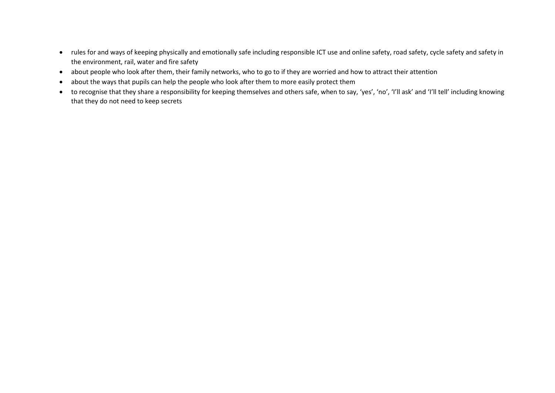- rules for and ways of keeping physically and emotionally safe including responsible ICT use and online safety, road safety, cycle safety and safety in the environment, rail, water and fire safety
- about people who look after them, their family networks, who to go to if they are worried and how to attract their attention
- about the ways that pupils can help the people who look after them to more easily protect them
- to recognise that they share a responsibility for keeping themselves and others safe, when to say, 'yes', 'no', 'I'll ask' and 'I'll tell' including knowing that they do not need to keep secrets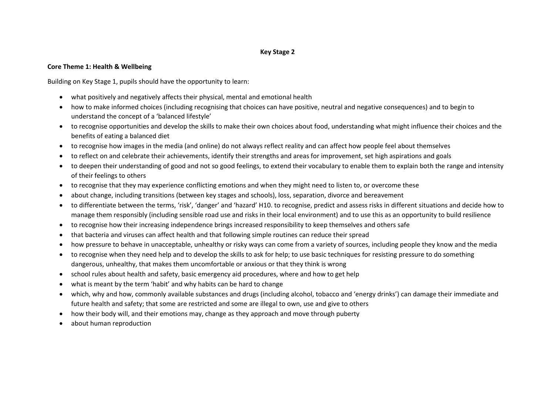### **Key Stage 2**

#### **Core Theme 1: Health & Wellbeing**

Building on Key Stage 1, pupils should have the opportunity to learn:

- what positively and negatively affects their physical, mental and emotional health
- how to make informed choices (including recognising that choices can have positive, neutral and negative consequences) and to begin to understand the concept of a 'balanced lifestyle'
- to recognise opportunities and develop the skills to make their own choices about food, understanding what might influence their choices and the benefits of eating a balanced diet
- to recognise how images in the media (and online) do not always reflect reality and can affect how people feel about themselves
- to reflect on and celebrate their achievements, identify their strengths and areas for improvement, set high aspirations and goals
- to deepen their understanding of good and not so good feelings, to extend their vocabulary to enable them to explain both the range and intensity of their feelings to others
- to recognise that they may experience conflicting emotions and when they might need to listen to, or overcome these
- about change, including transitions (between key stages and schools), loss, separation, divorce and bereavement
- to differentiate between the terms, 'risk', 'danger' and 'hazard' H10. to recognise, predict and assess risks in different situations and decide how to manage them responsibly (including sensible road use and risks in their local environment) and to use this as an opportunity to build resilience
- to recognise how their increasing independence brings increased responsibility to keep themselves and others safe
- that bacteria and viruses can affect health and that following simple routines can reduce their spread
- how pressure to behave in unacceptable, unhealthy or risky ways can come from a variety of sources, including people they know and the media
- to recognise when they need help and to develop the skills to ask for help; to use basic techniques for resisting pressure to do something dangerous, unhealthy, that makes them uncomfortable or anxious or that they think is wrong
- school rules about health and safety, basic emergency aid procedures, where and how to get help
- what is meant by the term 'habit' and why habits can be hard to change
- which, why and how, commonly available substances and drugs (including alcohol, tobacco and 'energy drinks') can damage their immediate and future health and safety; that some are restricted and some are illegal to own, use and give to others
- how their body will, and their emotions may, change as they approach and move through puberty
- about human reproduction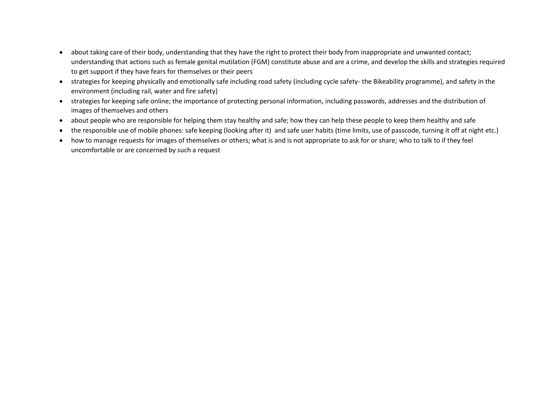- about taking care of their body, understanding that they have the right to protect their body from inappropriate and unwanted contact; understanding that actions such as female genital mutilation (FGM) constitute abuse and are a crime, and develop the skills and strategies required to get support if they have fears for themselves or their peers
- strategies for keeping physically and emotionally safe including road safety (including cycle safety- the Bikeability programme), and safety in the environment (including rail, water and fire safety)
- strategies for keeping safe online; the importance of protecting personal information, including passwords, addresses and the distribution of images of themselves and others
- about people who are responsible for helping them stay healthy and safe; how they can help these people to keep them healthy and safe
- the responsible use of mobile phones: safe keeping (looking after it) and safe user habits (time limits, use of passcode, turning it off at night etc.)
- how to manage requests for images of themselves or others; what is and is not appropriate to ask for or share; who to talk to if they feel uncomfortable or are concerned by such a request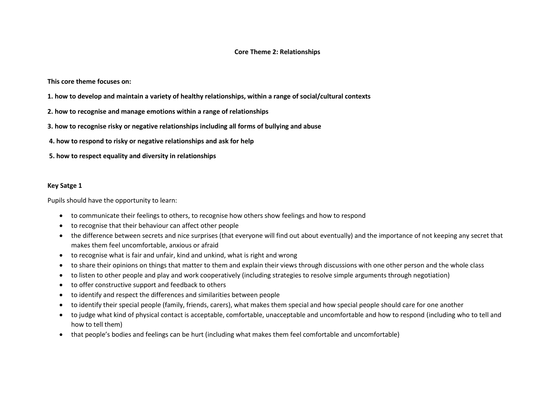#### **Core Theme 2: Relationships**

**This core theme focuses on:** 

- **1. how to develop and maintain a variety of healthy relationships, within a range of social/cultural contexts**
- **2. how to recognise and manage emotions within a range of relationships**
- **3. how to recognise risky or negative relationships including all forms of bullying and abuse**
- **4. how to respond to risky or negative relationships and ask for help**
- **5. how to respect equality and diversity in relationships**

#### **Key Satge 1**

Pupils should have the opportunity to learn:

- to communicate their feelings to others, to recognise how others show feelings and how to respond
- to recognise that their behaviour can affect other people
- the difference between secrets and nice surprises (that everyone will find out about eventually) and the importance of not keeping any secret that makes them feel uncomfortable, anxious or afraid
- to recognise what is fair and unfair, kind and unkind, what is right and wrong
- to share their opinions on things that matter to them and explain their views through discussions with one other person and the whole class
- to listen to other people and play and work cooperatively (including strategies to resolve simple arguments through negotiation)
- to offer constructive support and feedback to others
- to identify and respect the differences and similarities between people
- to identify their special people (family, friends, carers), what makes them special and how special people should care for one another
- to judge what kind of physical contact is acceptable, comfortable, unacceptable and uncomfortable and how to respond (including who to tell and how to tell them)
- that people's bodies and feelings can be hurt (including what makes them feel comfortable and uncomfortable)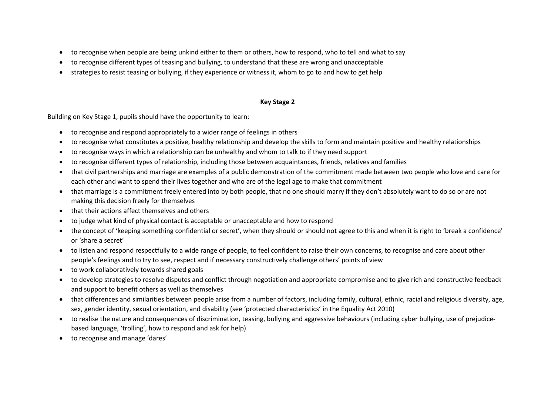- to recognise when people are being unkind either to them or others, how to respond, who to tell and what to say
- to recognise different types of teasing and bullying, to understand that these are wrong and unacceptable
- strategies to resist teasing or bullying, if they experience or witness it, whom to go to and how to get help

## **Key Stage 2**

Building on Key Stage 1, pupils should have the opportunity to learn:

- to recognise and respond appropriately to a wider range of feelings in others
- to recognise what constitutes a positive, healthy relationship and develop the skills to form and maintain positive and healthy relationships
- to recognise ways in which a relationship can be unhealthy and whom to talk to if they need support
- to recognise different types of relationship, including those between acquaintances, friends, relatives and families
- that civil partnerships and marriage are examples of a public demonstration of the commitment made between two people who love and care for each other and want to spend their lives together and who are of the legal age to make that commitment
- that marriage is a commitment freely entered into by both people, that no one should marry if they don't absolutely want to do so or are not making this decision freely for themselves
- that their actions affect themselves and others
- to judge what kind of physical contact is acceptable or unacceptable and how to respond
- the concept of 'keeping something confidential or secret', when they should or should not agree to this and when it is right to 'break a confidence' or 'share a secret'
- to listen and respond respectfully to a wide range of people, to feel confident to raise their own concerns, to recognise and care about other people's feelings and to try to see, respect and if necessary constructively challenge others' points of view
- to work collaboratively towards shared goals
- to develop strategies to resolve disputes and conflict through negotiation and appropriate compromise and to give rich and constructive feedback and support to benefit others as well as themselves
- that differences and similarities between people arise from a number of factors, including family, cultural, ethnic, racial and religious diversity, age, sex, gender identity, sexual orientation, and disability (see 'protected characteristics' in the Equality Act 2010)
- to realise the nature and consequences of discrimination, teasing, bullying and aggressive behaviours (including cyber bullying, use of prejudicebased language, 'trolling', how to respond and ask for help)
- to recognise and manage 'dares'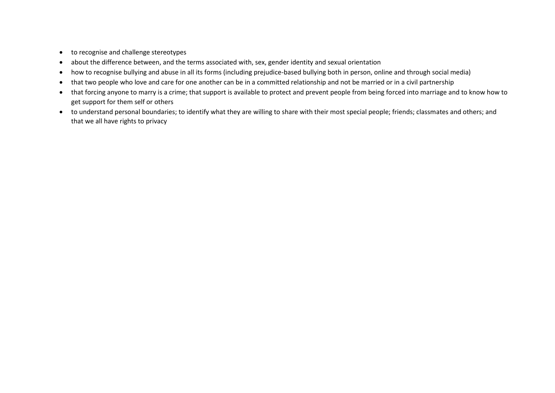- to recognise and challenge stereotypes
- about the difference between, and the terms associated with, sex, gender identity and sexual orientation
- how to recognise bullying and abuse in all its forms (including prejudice-based bullying both in person, online and through social media)
- that two people who love and care for one another can be in a committed relationship and not be married or in a civil partnership
- that forcing anyone to marry is a crime; that support is available to protect and prevent people from being forced into marriage and to know how to get support for them self or others
- to understand personal boundaries; to identify what they are willing to share with their most special people; friends; classmates and others; and that we all have rights to privacy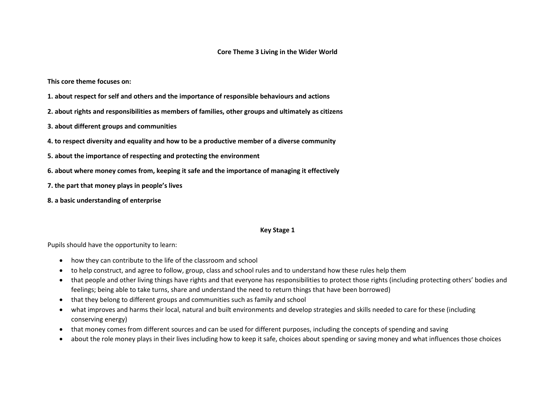#### **Core Theme 3 Living in the Wider World**

**This core theme focuses on:** 

- **1. about respect for self and others and the importance of responsible behaviours and actions**
- **2. about rights and responsibilities as members of families, other groups and ultimately as citizens**
- **3. about different groups and communities**
- **4. to respect diversity and equality and how to be a productive member of a diverse community**
- **5. about the importance of respecting and protecting the environment**
- **6. about where money comes from, keeping it safe and the importance of managing it effectively**
- **7. the part that money plays in people's lives**
- **8. a basic understanding of enterprise**

#### **Key Stage 1**

Pupils should have the opportunity to learn:

- how they can contribute to the life of the classroom and school
- to help construct, and agree to follow, group, class and school rules and to understand how these rules help them
- that people and other living things have rights and that everyone has responsibilities to protect those rights (including protecting others' bodies and feelings; being able to take turns, share and understand the need to return things that have been borrowed)
- that they belong to different groups and communities such as family and school
- what improves and harms their local, natural and built environments and develop strategies and skills needed to care for these (including conserving energy)
- that money comes from different sources and can be used for different purposes, including the concepts of spending and saving
- about the role money plays in their lives including how to keep it safe, choices about spending or saving money and what influences those choices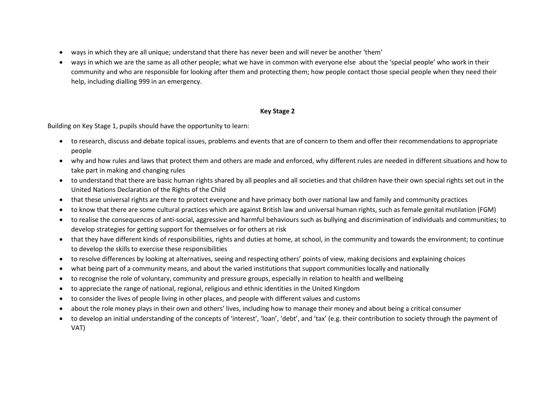- ways in which they are all unique; understand that there has never been and will never be another 'them'
- ways in which we are the same as all other people; what we have in common with everyone else about the 'special people' who work in their community and who are responsible for looking after them and protecting them; how people contact those special people when they need their help, including dialling 999 in an emergency.

## **Key Stage 2**

Building on Key Stage 1, pupils should have the opportunity to learn:

- to research, discuss and debate topical issues, problems and events that are of concern to them and offer their recommendations to appropriate people
- why and how rules and laws that protect them and others are made and enforced, why different rules are needed in different situations and how to take part in making and changing rules
- to understand that there are basic human rights shared by all peoples and all societies and that children have their own special rights set out in the United Nations Declaration of the Rights of the Child
- that these universal rights are there to protect everyone and have primacy both over national law and family and community practices
- to know that there are some cultural practices which are against British law and universal human rights, such as female genital mutilation (FGM)
- to realise the consequences of anti-social, aggressive and harmful behaviours such as bullying and discrimination of individuals and communities; to develop strategies for getting support for themselves or for others at risk
- that they have different kinds of responsibilities, rights and duties at home, at school, in the community and towards the environment; to continue to develop the skills to exercise these responsibilities
- to resolve differences by looking at alternatives, seeing and respecting others' points of view, making decisions and explaining choices
- what being part of a community means, and about the varied institutions that support communities locally and nationally
- to recognise the role of voluntary, community and pressure groups, especially in relation to health and wellbeing
- to appreciate the range of national, regional, religious and ethnic identities in the United Kingdom
- to consider the lives of people living in other places, and people with different values and customs
- about the role money plays in their own and others' lives, including how to manage their money and about being a critical consumer
- to develop an initial understanding of the concepts of 'interest', 'loan', 'debt', and 'tax' (e.g. their contribution to society through the payment of VAT)